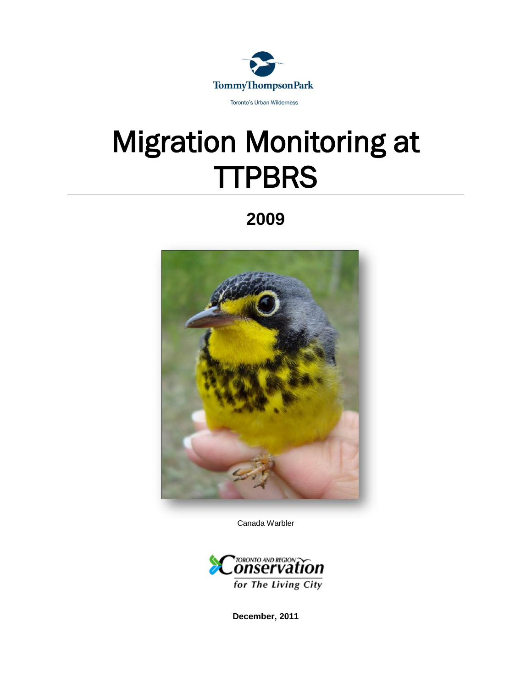

# <span id="page-0-0"></span>Migration Monitoring at **TTPBRS**

**2009**



Canada Warbler



**December, 2011**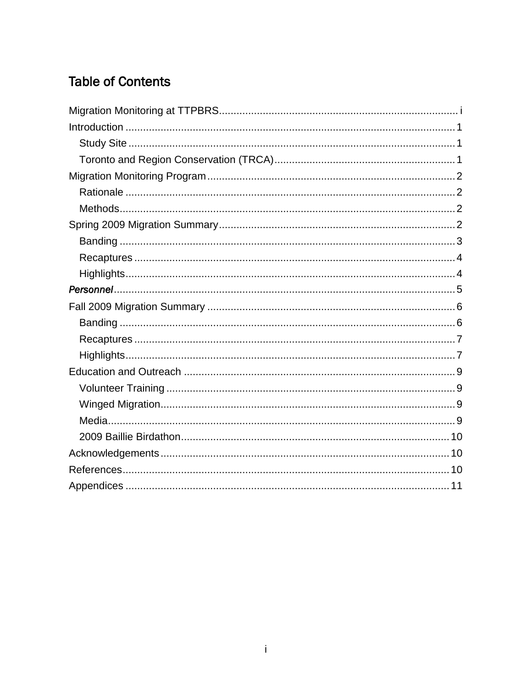# **Table of Contents**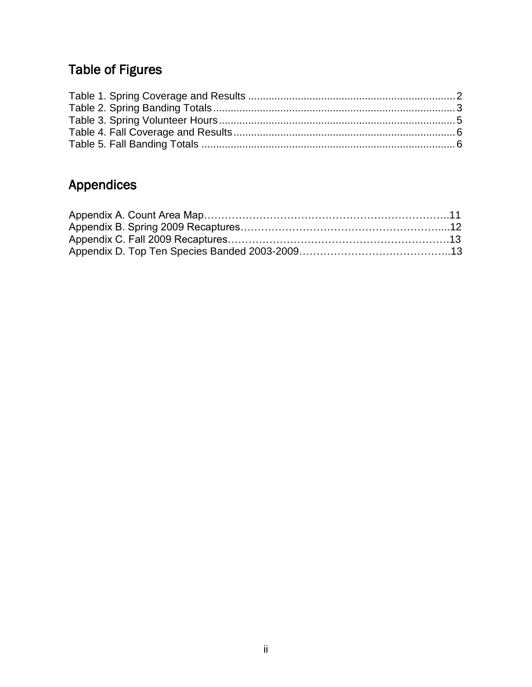# Table of Figures

# Appendices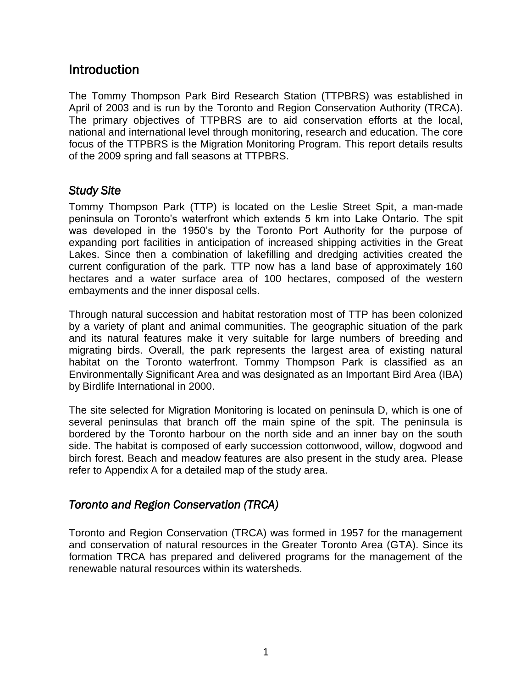## <span id="page-3-0"></span>Introduction

The Tommy Thompson Park Bird Research Station (TTPBRS) was established in April of 2003 and is run by the Toronto and Region Conservation Authority (TRCA). The primary objectives of TTPBRS are to aid conservation efforts at the local, national and international level through monitoring, research and education. The core focus of the TTPBRS is the Migration Monitoring Program. This report details results of the 2009 spring and fall seasons at TTPBRS.

#### <span id="page-3-1"></span>*Study Site*

Tommy Thompson Park (TTP) is located on the Leslie Street Spit, a man-made peninsula on Toronto's waterfront which extends 5 km into Lake Ontario. The spit was developed in the 1950's by the Toronto Port Authority for the purpose of expanding port facilities in anticipation of increased shipping activities in the Great Lakes. Since then a combination of lakefilling and dredging activities created the current configuration of the park. TTP now has a land base of approximately 160 hectares and a water surface area of 100 hectares, composed of the western embayments and the inner disposal cells.

Through natural succession and habitat restoration most of TTP has been colonized by a variety of plant and animal communities. The geographic situation of the park and its natural features make it very suitable for large numbers of breeding and migrating birds. Overall, the park represents the largest area of existing natural habitat on the Toronto waterfront. Tommy Thompson Park is classified as an Environmentally Significant Area and was designated as an Important Bird Area (IBA) by Birdlife International in 2000.

The site selected for Migration Monitoring is located on peninsula D, which is one of several peninsulas that branch off the main spine of the spit. The peninsula is bordered by the Toronto harbour on the north side and an inner bay on the south side. The habitat is composed of early succession cottonwood, willow, dogwood and birch forest. Beach and meadow features are also present in the study area. Please refer to Appendix A for a detailed map of the study area.

## <span id="page-3-2"></span>*Toronto and Region Conservation (TRCA)*

Toronto and Region Conservation (TRCA) was formed in 1957 for the management and conservation of natural resources in the Greater Toronto Area (GTA). Since its formation TRCA has prepared and delivered programs for the management of the renewable natural resources within its watersheds.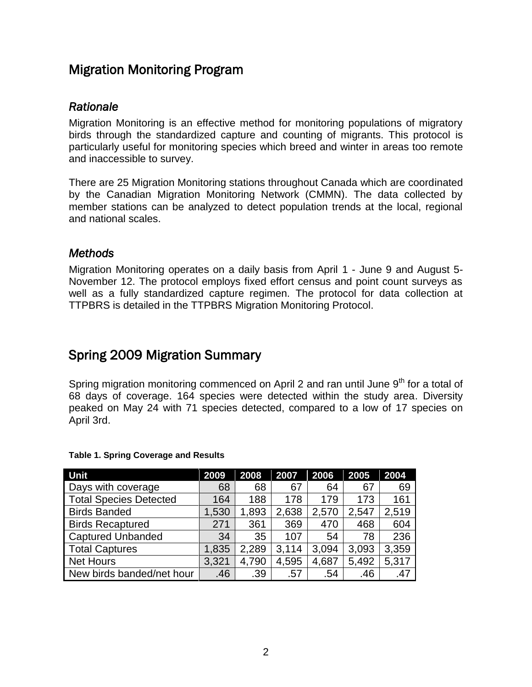## <span id="page-4-0"></span>Migration Monitoring Program

## <span id="page-4-1"></span>*Rationale*

Migration Monitoring is an effective method for monitoring populations of migratory birds through the standardized capture and counting of migrants. This protocol is particularly useful for monitoring species which breed and winter in areas too remote and inaccessible to survey.

There are 25 Migration Monitoring stations throughout Canada which are coordinated by the Canadian Migration Monitoring Network (CMMN). The data collected by member stations can be analyzed to detect population trends at the local, regional and national scales.

#### <span id="page-4-2"></span>*Methods*

Migration Monitoring operates on a daily basis from April 1 - June 9 and August 5- November 12. The protocol employs fixed effort census and point count surveys as well as a fully standardized capture regimen. The protocol for data collection at TTPBRS is detailed in the TTPBRS Migration Monitoring Protocol.

## <span id="page-4-3"></span>Spring 2009 Migration Summary

Spring migration monitoring commenced on April 2 and ran until June  $9<sup>th</sup>$  for a total of 68 days of coverage. 164 species were detected within the study area. Diversity peaked on May 24 with 71 species detected, compared to a low of 17 species on April 3rd.

| <b>Unit</b>                   | 2009  | 2008  | 2007  | 2006  | 2005  | 2004  |
|-------------------------------|-------|-------|-------|-------|-------|-------|
| Days with coverage            | 68    | 68    | 67    | 64    | 67    | 69    |
| <b>Total Species Detected</b> | 164   | 188   | 178   | 179   | 173   | 161   |
| <b>Birds Banded</b>           | 1,530 | 1,893 | 2,638 | 2,570 | 2,547 | 2,519 |
| <b>Birds Recaptured</b>       | 271   | 361   | 369   | 470   | 468   | 604   |
| <b>Captured Unbanded</b>      | 34    | 35    | 107   | 54    | 78    | 236   |
| <b>Total Captures</b>         | 1,835 | 2,289 | 3,114 | 3,094 | 3,093 | 3,359 |
| <b>Net Hours</b>              | 3,321 | 4,790 | 4,595 | 4,687 | 5,492 | 5,317 |
| New birds banded/net hour     | .46   | .39   | .57   | .54   | .46   | .47   |

#### <span id="page-4-4"></span>**Table 1. Spring Coverage and Results**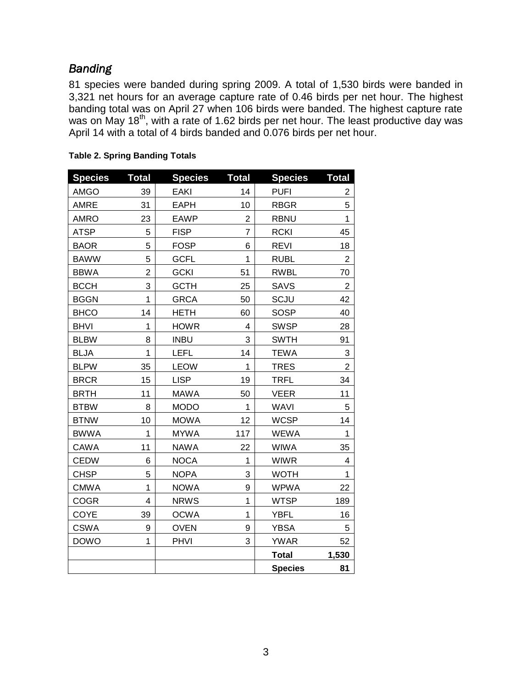## <span id="page-5-0"></span>*Banding*

81 species were banded during spring 2009. A total of 1,530 birds were banded in 3,321 net hours for an average capture rate of 0.46 birds per net hour. The highest banding total was on April 27 when 106 birds were banded. The highest capture rate was on May 18<sup>th</sup>, with a rate of 1.62 birds per net hour. The least productive day was April 14 with a total of 4 birds banded and 0.076 birds per net hour.

| <b>Species</b> | <b>Total</b>   | <b>Species</b>    | <b>Total</b>   | <b>Species</b> | <b>Total</b>   |
|----------------|----------------|-------------------|----------------|----------------|----------------|
| <b>AMGO</b>    | 39             | 14<br><b>EAKI</b> |                | <b>PUFI</b>    | 2              |
| AMRE           | 31             | <b>EAPH</b>       | 10             | <b>RBGR</b>    | 5              |
| <b>AMRO</b>    | 23             | <b>EAWP</b>       | $\overline{2}$ | <b>RBNU</b>    | $\mathbf{1}$   |
| <b>ATSP</b>    | 5              | <b>FISP</b>       | 7              | <b>RCKI</b>    | 45             |
| <b>BAOR</b>    | 5              | <b>FOSP</b>       | 6              | <b>REVI</b>    | 18             |
| <b>BAWW</b>    | 5              | <b>GCFL</b>       | 1              | <b>RUBL</b>    | 2              |
| <b>BBWA</b>    | $\overline{2}$ | <b>GCKI</b>       | 51             | <b>RWBL</b>    | 70             |
| <b>BCCH</b>    | 3              | <b>GCTH</b>       | 25             | <b>SAVS</b>    | 2              |
| <b>BGGN</b>    | $\mathbf 1$    | <b>GRCA</b>       | 50             | SCJU           | 42             |
| <b>BHCO</b>    | 14             | <b>HETH</b>       | 60             | <b>SOSP</b>    | 40             |
| <b>BHVI</b>    | $\mathbf 1$    | <b>HOWR</b>       | 4              | <b>SWSP</b>    | 28             |
| <b>BLBW</b>    | 8              | <b>INBU</b>       | 3              | <b>SWTH</b>    | 91             |
| <b>BLJA</b>    | 1              | <b>LEFL</b>       | 14             | <b>TEWA</b>    | 3              |
| <b>BLPW</b>    | 35             | <b>LEOW</b>       | 1              | <b>TRES</b>    | $\overline{2}$ |
| <b>BRCR</b>    | 15             | <b>LISP</b>       | 19             | <b>TRFL</b>    | 34             |
| <b>BRTH</b>    | 11             | <b>MAWA</b>       | 50             | <b>VEER</b>    | 11             |
| <b>BTBW</b>    | 8              | <b>MODO</b>       | $\mathbf{1}$   | <b>WAVI</b>    | 5              |
| <b>BTNW</b>    | 10             | <b>MOWA</b>       | 12             | <b>WCSP</b>    | 14             |
| <b>BWWA</b>    | 1              | <b>MYWA</b>       | 117            | <b>WEWA</b>    | $\mathbf{1}$   |
| CAWA           | 11             | <b>NAWA</b>       | 22             | <b>WIWA</b>    | 35             |
| CEDW           | 6              | <b>NOCA</b>       | 1              | <b>WIWR</b>    | 4              |
| <b>CHSP</b>    | 5              | <b>NOPA</b>       | 3              | <b>WOTH</b>    | 1              |
| <b>CMWA</b>    | 1              | <b>NOWA</b>       | 9              | <b>WPWA</b>    | 22             |
| <b>COGR</b>    | 4              | <b>NRWS</b>       | 1              | <b>WTSP</b>    | 189            |
| COYE           | 39             | <b>OCWA</b>       | $\mathbf{1}$   | <b>YBFL</b>    | 16             |
| <b>CSWA</b>    | 9              | <b>OVEN</b>       | 9              | <b>YBSA</b>    | 5              |
| <b>DOWO</b>    | 1              | <b>PHVI</b>       | 3              | <b>YWAR</b>    | 52             |
|                |                |                   |                | <b>Total</b>   | 1,530          |
|                |                |                   |                | <b>Species</b> | 81             |

#### <span id="page-5-1"></span>**Table 2. Spring Banding Totals**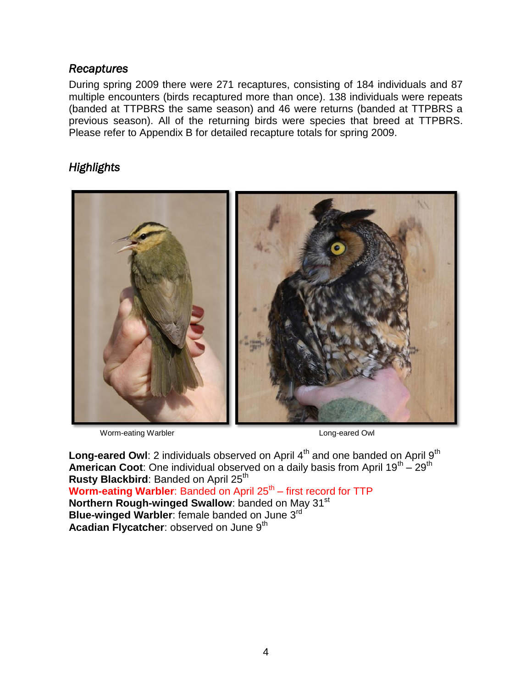## <span id="page-6-0"></span>*Recaptures*

During spring 2009 there were 271 recaptures, consisting of 184 individuals and 87 multiple encounters (birds recaptured more than once). 138 individuals were repeats (banded at TTPBRS the same season) and 46 were returns (banded at TTPBRS a previous season). All of the returning birds were species that breed at TTPBRS. Please refer to Appendix B for detailed recapture totals for spring 2009.

## <span id="page-6-1"></span>*Highlights*



Worm-eating Warbler **Long-eared Owl** 

Long-eared Owl: 2 individuals observed on April 4<sup>th</sup> and one banded on April 9<sup>th</sup> American Coot: One individual observed on a daily basis from April 19<sup>th</sup> – 29<sup>th</sup> **Rusty Blackbird: Banded on April 25<sup>th</sup>** Worm-eating Warbler: Banded on April 25<sup>th</sup> – first record for TTP **Northern Rough-winged Swallow: banded on May 31st Blue-winged Warbler**: female banded on June 3rd **Acadian Flycatcher:** observed on June 9<sup>th</sup>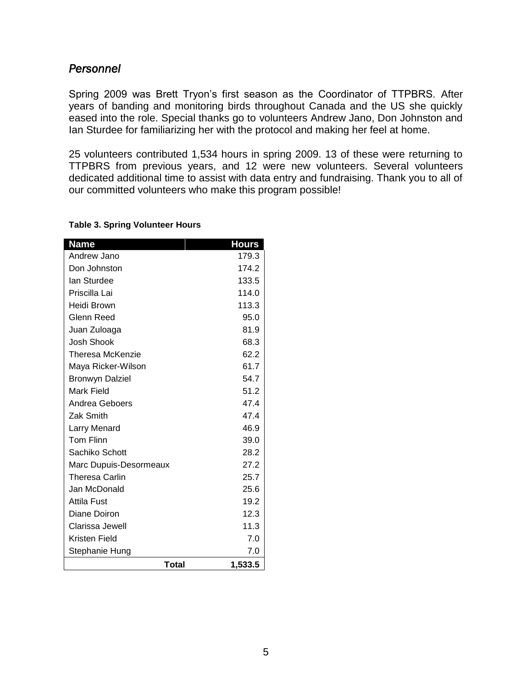#### <span id="page-7-0"></span>*Personnel*

Spring 2009 was Brett Tryon's first season as the Coordinator of TTPBRS. After years of banding and monitoring birds throughout Canada and the US she quickly eased into the role. Special thanks go to volunteers Andrew Jano, Don Johnston and Ian Sturdee for familiarizing her with the protocol and making her feel at home.

25 volunteers contributed 1,534 hours in spring 2009. 13 of these were returning to TTPBRS from previous years, and 12 were new volunteers. Several volunteers dedicated additional time to assist with data entry and fundraising. Thank you to all of our committed volunteers who make this program possible!

#### <span id="page-7-1"></span>**Table 3. Spring Volunteer Hours**

| <b>Name</b>            | <b>Hours</b> |
|------------------------|--------------|
| Andrew Jano            | 179.3        |
| Don Johnston           | 174.2        |
| lan Sturdee            | 133.5        |
| Priscilla Lai          | 114.0        |
| Heidi Brown            | 113.3        |
| Glenn Reed             | 95.0         |
| Juan Zuloaga           | 81.9         |
| Josh Shook             | 68.3         |
| Theresa McKenzie       | 62.2         |
| Maya Ricker-Wilson     | 61.7         |
| <b>Bronwyn Dalziel</b> | 54.7         |
| <b>Mark Field</b>      | 51.2         |
| Andrea Geboers         | 47.4         |
| Zak Smith              | 47.4         |
| <b>Larry Menard</b>    | 46.9         |
| Tom Flinn              | 39.0         |
| Sachiko Schott         | 28.2         |
| Marc Dupuis-Desormeaux | 27.2         |
| <b>Theresa Carlin</b>  | 25.7         |
| Jan McDonald           | 25.6         |
| <b>Attila Fust</b>     | 19.2         |
| Diane Doiron           | 12.3         |
| Clarissa Jewell        | 11.3         |
| Kristen Field          | 7.0          |
| Stephanie Hung         | 7.0          |
| <b>Total</b>           | 1,533.5      |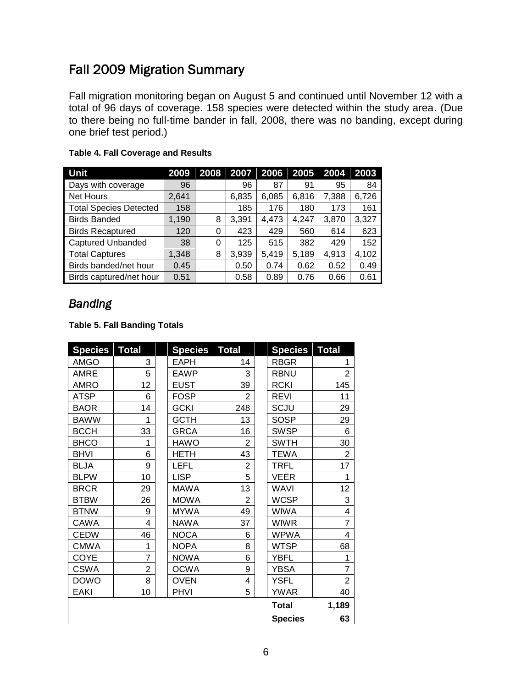## <span id="page-8-0"></span>Fall 2009 Migration Summary

Fall migration monitoring began on August 5 and continued until November 12 with a total of 96 days of coverage. 158 species were detected within the study area. (Due to there being no full-time bander in fall, 2008, there was no banding, except during one brief test period.)

| Unit                          | 2009  |   | 2008 2007 2006 |       | 2005 2004 |       | 2003  |
|-------------------------------|-------|---|----------------|-------|-----------|-------|-------|
| Days with coverage            | 96    |   | 96             | 87    | 91        | 95    | 84    |
| <b>Net Hours</b>              | 2,641 |   | 6,835          | 6,085 | 6,816     | 7,388 | 6,726 |
| <b>Total Species Detected</b> | 158   |   | 185            | 176   | 180       | 173   | 161   |
| <b>Birds Banded</b>           | 1,190 | 8 | 3,391          | 4,473 | 4,247     | 3,870 | 3,327 |
| <b>Birds Recaptured</b>       | 120   | 0 | 423            | 429   | 560       | 614   | 623   |
| <b>Captured Unbanded</b>      | 38    | 0 | 125            | 515   | 382       | 429   | 152   |
| <b>Total Captures</b>         | 1,348 | 8 | 3,939          | 5,419 | 5,189     | 4,913 | 4,102 |
| Birds banded/net hour         | 0.45  |   | 0.50           | 0.74  | 0.62      | 0.52  | 0.49  |
| Birds captured/net hour       | 0.51  |   | 0.58           | 0.89  | 0.76      | 0.66  | 0.61  |

#### <span id="page-8-2"></span>**Table 4. Fall Coverage and Results**

## <span id="page-8-1"></span>*Banding*

#### <span id="page-8-3"></span>**Table 5. Fall Banding Totals**

| <b>Species</b> | <b>Total</b>   | <b>Species</b> | <b>Total</b>   | <b>Species</b> | <b>Total</b>   |
|----------------|----------------|----------------|----------------|----------------|----------------|
| AMGO           | 3              | EAPH           | 14             | <b>RBGR</b>    | 1              |
| <b>AMRE</b>    | 5              | <b>EAWP</b>    | 3              | <b>RBNU</b>    | $\overline{2}$ |
| AMRO           | 12             | <b>EUST</b>    | 39             | <b>RCKI</b>    | 145            |
| <b>ATSP</b>    | 6              | <b>FOSP</b>    | $\overline{2}$ | <b>REVI</b>    | 11             |
| <b>BAOR</b>    | 14             | <b>GCKI</b>    | 248            | SCJU           | 29             |
| <b>BAWW</b>    | 1              | <b>GCTH</b>    | 13             | <b>SOSP</b>    | 29             |
| <b>BCCH</b>    | 33             | <b>GRCA</b>    | 16             | <b>SWSP</b>    | 6              |
| <b>BHCO</b>    | 1              | <b>HAWO</b>    | $\overline{2}$ | <b>SWTH</b>    | 30             |
| <b>BHVI</b>    | 6              | <b>HETH</b>    | 43             | <b>TEWA</b>    | $\overline{2}$ |
| <b>BLJA</b>    | 9              | <b>LEFL</b>    | $\overline{2}$ | <b>TRFL</b>    | 17             |
| <b>BLPW</b>    | 10             | <b>LISP</b>    | 5              | <b>VEER</b>    | $\mathbf{1}$   |
| <b>BRCR</b>    | 29             | <b>MAWA</b>    | 13             | <b>WAVI</b>    | 12             |
| <b>BTBW</b>    | 26             | <b>MOWA</b>    | $\overline{2}$ | <b>WCSP</b>    | 3              |
| <b>BTNW</b>    | 9              | <b>MYWA</b>    | 49             | <b>WIWA</b>    | 4              |
| CAWA           | 4              | <b>NAWA</b>    | 37             | <b>WIWR</b>    | $\overline{7}$ |
| <b>CEDW</b>    | 46             | <b>NOCA</b>    | 6              | <b>WPWA</b>    | $\overline{4}$ |
| <b>CMWA</b>    | 1              | <b>NOPA</b>    | 8              | <b>WTSP</b>    | 68             |
| COYE           | $\overline{7}$ | <b>NOWA</b>    | 6              | YBFL           | 1              |
| <b>CSWA</b>    | $\overline{2}$ | <b>OCWA</b>    | 9              | <b>YBSA</b>    | $\overline{7}$ |
| <b>DOWO</b>    | 8              | <b>OVEN</b>    | 4              | <b>YSFL</b>    | $\overline{2}$ |
| <b>EAKI</b>    | 10             | <b>PHVI</b>    | 5              | <b>YWAR</b>    | 40             |
|                |                |                |                | <b>Total</b>   | 1,189          |
|                |                |                |                | <b>Species</b> | 63             |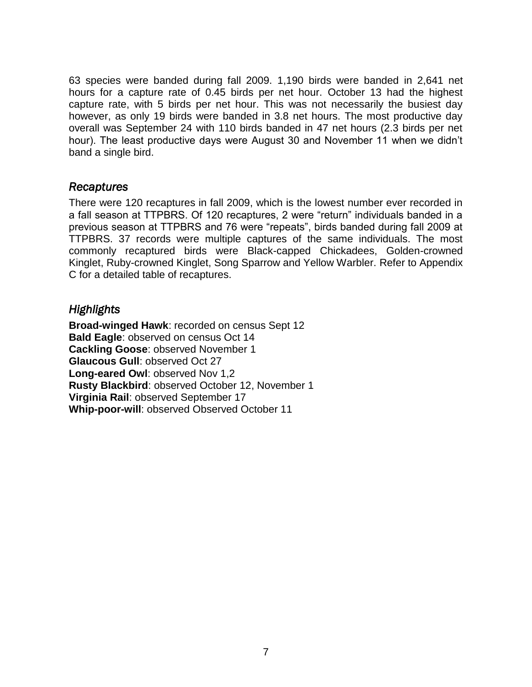63 species were banded during fall 2009. 1,190 birds were banded in 2,641 net hours for a capture rate of 0.45 birds per net hour. October 13 had the highest capture rate, with 5 birds per net hour. This was not necessarily the busiest day however, as only 19 birds were banded in 3.8 net hours. The most productive day overall was September 24 with 110 birds banded in 47 net hours (2.3 birds per net hour). The least productive days were August 30 and November 11 when we didn't band a single bird.

#### <span id="page-9-0"></span>*Recaptures*

There were 120 recaptures in fall 2009, which is the lowest number ever recorded in a fall season at TTPBRS. Of 120 recaptures, 2 were "return" individuals banded in a previous season at TTPBRS and 76 were "repeats", birds banded during fall 2009 at TTPBRS. 37 records were multiple captures of the same individuals. The most commonly recaptured birds were Black-capped Chickadees, Golden-crowned Kinglet, Ruby-crowned Kinglet, Song Sparrow and Yellow Warbler. Refer to Appendix C for a detailed table of recaptures.

#### <span id="page-9-1"></span>*Highlights*

**Broad-winged Hawk**: recorded on census Sept 12 **Bald Eagle**: observed on census Oct 14 **Cackling Goose**: observed November 1 **Glaucous Gull**: observed Oct 27 **Long-eared Owl**: observed Nov 1,2 **Rusty Blackbird**: observed October 12, November 1 **Virginia Rail**: observed September 17 **Whip-poor-will**: observed Observed October 11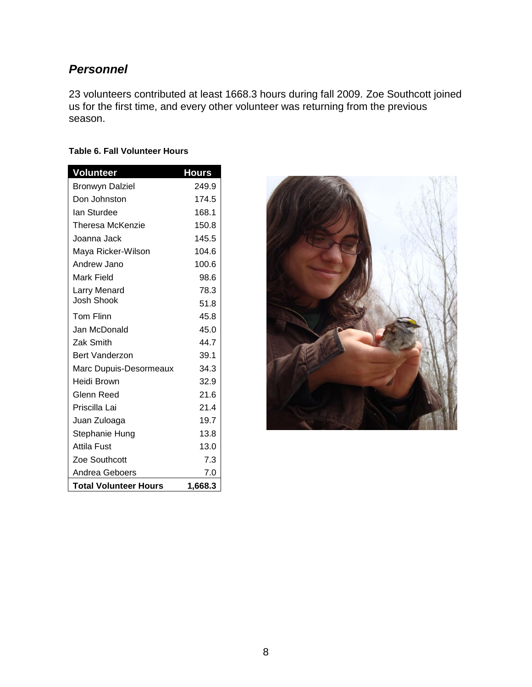## *Personnel*

23 volunteers contributed at least 1668.3 hours during fall 2009. Zoe Southcott joined us for the first time, and every other volunteer was returning from the previous season.

#### **Table 6. Fall Volunteer Hours**

| <b>Volunteer</b>             | <b>Hours</b> |
|------------------------------|--------------|
| <b>Bronwyn Dalziel</b>       | 249.9        |
| Don Johnston                 | 174.5        |
| lan Sturdee                  | 168.1        |
| Theresa McKenzie             | 150.8        |
| Joanna Jack                  | 145.5        |
| Maya Ricker-Wilson           | 104.6        |
| Andrew Jano                  | 100.6        |
| <b>Mark Field</b>            | 98.6         |
| Larry Menard                 | 78.3         |
| <b>Josh Shook</b>            | 51.8         |
| Tom Flinn                    | 45.8         |
| Jan McDonald                 | 45.0         |
| Zak Smith                    | 44.7         |
| <b>Bert Vanderzon</b>        | 39.1         |
| Marc Dupuis-Desormeaux       | 34.3         |
| Heidi Brown                  | 32.9         |
| Glenn Reed                   | 21.6         |
| Priscilla Lai                | 21.4         |
| Juan Zuloaga                 | 19.7         |
| Stephanie Hung               | 13.8         |
| <b>Attila Fust</b>           | 13.0         |
| Zoe Southcott                | 7.3          |
| Andrea Geboers               | 7.0          |
| <b>Total Volunteer Hours</b> | 1,668.3      |

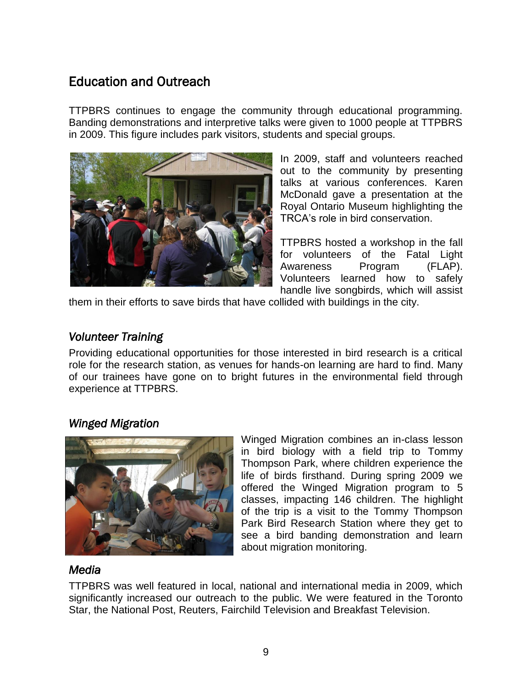## <span id="page-11-0"></span>Education and Outreach

TTPBRS continues to engage the community through educational programming. Banding demonstrations and interpretive talks were given to 1000 people at TTPBRS in 2009. This figure includes park visitors, students and special groups.



In 2009, staff and volunteers reached out to the community by presenting talks at various conferences. Karen McDonald gave a presentation at the Royal Ontario Museum highlighting the TRCA's role in bird conservation.

TTPBRS hosted a workshop in the fall for volunteers of the Fatal Light Awareness Program (FLAP). Volunteers learned how to safely handle live songbirds, which will assist

them in their efforts to save birds that have collided with buildings in the city.

#### <span id="page-11-1"></span>*Volunteer Training*

Providing educational opportunities for those interested in bird research is a critical role for the research station, as venues for hands-on learning are hard to find. Many of our trainees have gone on to bright futures in the environmental field through experience at TTPBRS.

## <span id="page-11-2"></span>*Winged Migration*



Winged Migration combines an in-class lesson in bird biology with a field trip to Tommy Thompson Park, where children experience the life of birds firsthand. During spring 2009 we offered the Winged Migration program to 5 classes, impacting 146 children. The highlight of the trip is a visit to the Tommy Thompson Park Bird Research Station where they get to see a bird banding demonstration and learn about migration monitoring.

## <span id="page-11-3"></span>*Media*

TTPBRS was well featured in local, national and international media in 2009, which significantly increased our outreach to the public. We were featured in the Toronto Star, the National Post, Reuters, Fairchild Television and Breakfast Television.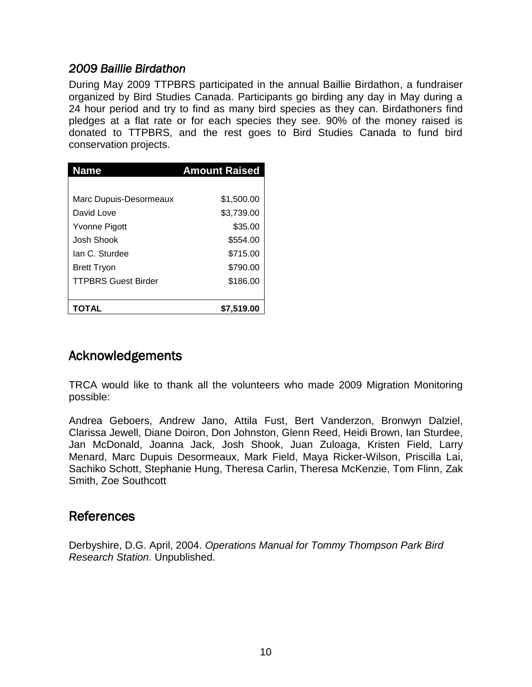## <span id="page-12-0"></span>*2009 Baillie Birdathon*

During May 2009 TTPBRS participated in the annual Baillie Birdathon, a fundraiser organized by Bird Studies Canada. Participants go birding any day in May during a 24 hour period and try to find as many bird species as they can. Birdathoners find pledges at a flat rate or for each species they see. 90% of the money raised is donated to TTPBRS, and the rest goes to Bird Studies Canada to fund bird conservation projects.

| <b>Name</b>                | <b>Amount Raised</b> |
|----------------------------|----------------------|
|                            |                      |
| Marc Dupuis-Desormeaux     | \$1,500.00           |
| David Love                 | \$3,739.00           |
| Yvonne Pigott              | \$35.00              |
| Josh Shook                 | \$554.00             |
| lan C. Sturdee             | \$715.00             |
| <b>Brett Tryon</b>         | \$790.00             |
| <b>TTPBRS Guest Birder</b> | \$186.00             |
|                            |                      |
| <b>TOTAL</b>               | \$7.519.00           |

## <span id="page-12-1"></span>Acknowledgements

TRCA would like to thank all the volunteers who made 2009 Migration Monitoring possible:

Andrea Geboers, Andrew Jano, Attila Fust, Bert Vanderzon, Bronwyn Dalziel, Clarissa Jewell, Diane Doiron, Don Johnston, Glenn Reed, Heidi Brown, Ian Sturdee, Jan McDonald, Joanna Jack, Josh Shook, Juan Zuloaga, Kristen Field, Larry Menard, Marc Dupuis Desormeaux, Mark Field, Maya Ricker-Wilson, Priscilla Lai, Sachiko Schott, Stephanie Hung, Theresa Carlin, Theresa McKenzie, Tom Flinn, Zak Smith, Zoe Southcott

## <span id="page-12-2"></span>References

Derbyshire, D.G. April, 2004. *Operations Manual for Tommy Thompson Park Bird Research Station.* Unpublished.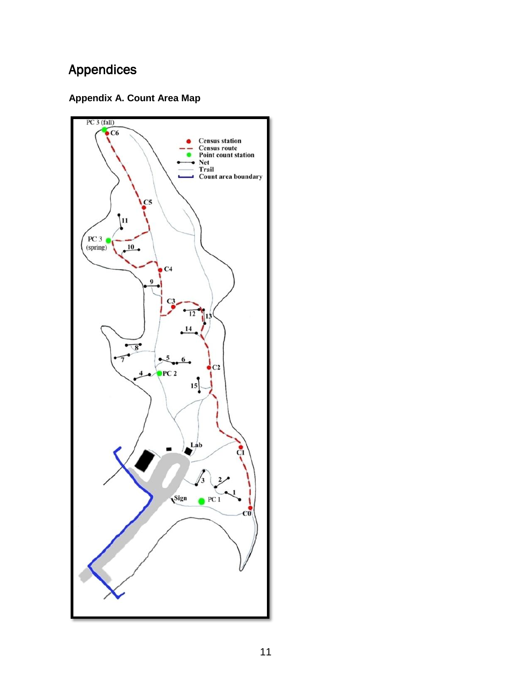## <span id="page-13-0"></span>Appendices

## **Appendix A. Count Area Map**

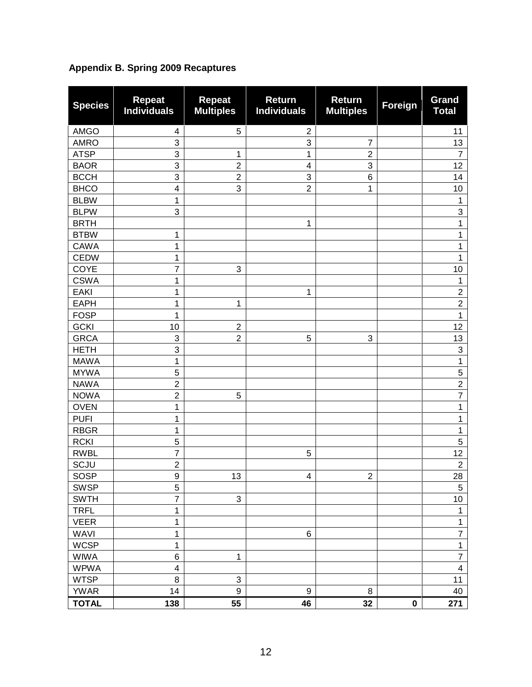## **Appendix B. Spring 2009 Recaptures**

| <b>Species</b> | <b>Repeat</b><br><b>Individuals</b> | <b>Repeat</b><br><b>Multiples</b> | <b>Return</b><br><b>Individuals</b> | <b>Return</b><br><b>Multiples</b> | <b>Foreign</b> | <b>Grand</b><br><b>Total</b> |
|----------------|-------------------------------------|-----------------------------------|-------------------------------------|-----------------------------------|----------------|------------------------------|
| <b>AMGO</b>    | 4                                   | 5                                 | $\overline{2}$                      |                                   |                | 11                           |
| <b>AMRO</b>    | 3                                   |                                   | 3                                   | 7                                 |                | 13                           |
| <b>ATSP</b>    | 3                                   | 1                                 | 1                                   | $\overline{c}$                    |                | 7                            |
| <b>BAOR</b>    | 3                                   | $\overline{c}$                    | 4                                   | 3                                 |                | 12                           |
| <b>BCCH</b>    | 3                                   | $\overline{2}$                    | 3                                   | 6                                 |                | 14                           |
| <b>BHCO</b>    | $\overline{\mathbf{4}}$             | 3                                 | $\overline{2}$                      | 1                                 |                | 10                           |
| <b>BLBW</b>    | 1                                   |                                   |                                     |                                   |                | $\mathbf 1$                  |
| <b>BLPW</b>    | 3                                   |                                   |                                     |                                   |                | $\mathbf{3}$                 |
| <b>BRTH</b>    |                                     |                                   | 1                                   |                                   |                | 1                            |
| <b>BTBW</b>    | 1                                   |                                   |                                     |                                   |                | $\mathbf 1$                  |
| <b>CAWA</b>    | 1                                   |                                   |                                     |                                   |                | $\mathbf 1$                  |
| <b>CEDW</b>    | 1                                   |                                   |                                     |                                   |                | 1                            |
| COYE           | 7                                   | 3                                 |                                     |                                   |                | 10                           |
| <b>CSWA</b>    | 1                                   |                                   |                                     |                                   |                | $\mathbf 1$                  |
| <b>EAKI</b>    | 1                                   |                                   | 1                                   |                                   |                | $\overline{2}$               |
| <b>EAPH</b>    | 1                                   | 1                                 |                                     |                                   |                | $\overline{2}$               |
| <b>FOSP</b>    | 1                                   |                                   |                                     |                                   |                | $\mathbf{1}$                 |
| <b>GCKI</b>    | 10                                  | $\overline{c}$                    |                                     |                                   |                | 12                           |
| <b>GRCA</b>    | 3                                   | $\overline{2}$                    | 5                                   | 3                                 |                | 13                           |
| <b>HETH</b>    | 3                                   |                                   |                                     |                                   |                | 3                            |
| <b>MAWA</b>    | 1                                   |                                   |                                     |                                   |                | 1                            |
| <b>MYWA</b>    | 5                                   |                                   |                                     |                                   |                | 5                            |
| <b>NAWA</b>    | $\overline{2}$                      |                                   |                                     |                                   |                | $\overline{2}$               |
| <b>NOWA</b>    | $\overline{2}$                      | 5                                 |                                     |                                   |                | $\overline{7}$               |
| <b>OVEN</b>    | 1                                   |                                   |                                     |                                   |                | 1                            |
| <b>PUFI</b>    | $\mathbf 1$                         |                                   |                                     |                                   |                | 1                            |
| <b>RBGR</b>    | 1                                   |                                   |                                     |                                   |                | 1                            |
| <b>RCKI</b>    | 5                                   |                                   |                                     |                                   |                | 5                            |
| <b>RWBL</b>    | $\overline{7}$                      |                                   | 5                                   |                                   |                | 12                           |
| SCJU           | $\overline{c}$                      |                                   |                                     |                                   |                | $\overline{2}$               |
| SOSP           | 9                                   | 13                                | 4                                   | $\overline{c}$                    |                | 28                           |
| <b>SWSP</b>    | 5                                   |                                   |                                     |                                   |                | $\sqrt{5}$                   |
| <b>SWTH</b>    | $\overline{7}$                      | 3                                 |                                     |                                   |                | 10                           |
| <b>TRFL</b>    | 1                                   |                                   |                                     |                                   |                | $\mathbf{1}$                 |
| <b>VEER</b>    | $\mathbf 1$                         |                                   |                                     |                                   |                | $\mathbf 1$                  |
| <b>WAVI</b>    | $\mathbf 1$                         |                                   | $\,6\,$                             |                                   |                | $\overline{7}$               |
| <b>WCSP</b>    | $\mathbf 1$                         |                                   |                                     |                                   |                | $\mathbf 1$                  |
| <b>WIWA</b>    | 6                                   | $\mathbf{1}$                      |                                     |                                   |                | $\overline{7}$               |
| <b>WPWA</b>    | 4                                   |                                   |                                     |                                   |                | $\overline{\mathbf{4}}$      |
| <b>WTSP</b>    | $\bf 8$                             | 3                                 |                                     |                                   |                | 11                           |
| <b>YWAR</b>    | 14                                  | $\boldsymbol{9}$                  | 9                                   | 8                                 |                | 40                           |
| <b>TOTAL</b>   | 138                                 | 55                                | 46                                  | 32                                | $\pmb{0}$      | 271                          |